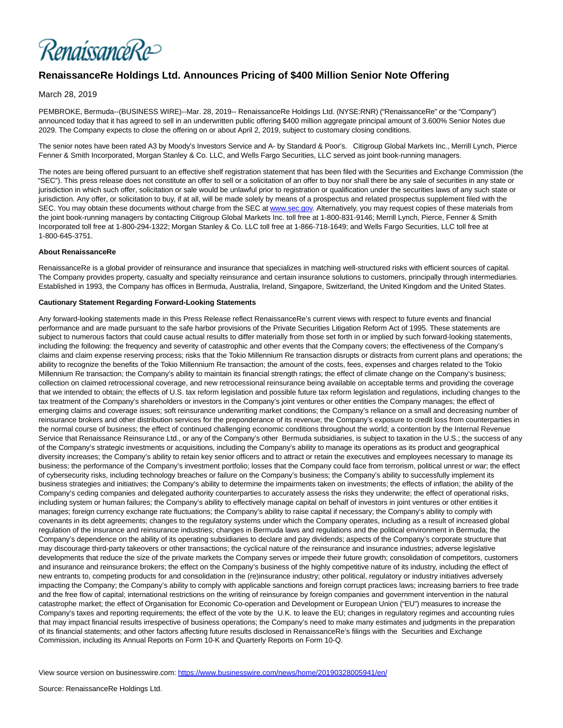

# **RenaissanceRe Holdings Ltd. Announces Pricing of \$400 Million Senior Note Offering**

# March 28, 2019

PEMBROKE, Bermuda--(BUSINESS WIRE)--Mar. 28, 2019-- RenaissanceRe Holdings Ltd. (NYSE:RNR) ("RenaissanceRe" or the "Company") announced today that it has agreed to sell in an underwritten public offering \$400 million aggregate principal amount of 3.600% Senior Notes due 2029. The Company expects to close the offering on or about April 2, 2019, subject to customary closing conditions.

The senior notes have been rated A3 by Moody's Investors Service and A- by Standard & Poor's. Citigroup Global Markets Inc., Merrill Lynch, Pierce Fenner & Smith Incorporated, Morgan Stanley & Co. LLC, and Wells Fargo Securities, LLC served as joint book-running managers.

The notes are being offered pursuant to an effective shelf registration statement that has been filed with the Securities and Exchange Commission (the "SEC"). This press release does not constitute an offer to sell or a solicitation of an offer to buy nor shall there be any sale of securities in any state or jurisdiction in which such offer, solicitation or sale would be unlawful prior to registration or qualification under the securities laws of any such state or jurisdiction. Any offer, or solicitation to buy, if at all, will be made solely by means of a prospectus and related prospectus supplement filed with the SEC. You may obtain these documents without charge from the SEC at [www.sec.gov.](https://cts.businesswire.com/ct/CT?id=smartlink&url=http%3A%2F%2Fwww.sec.gov&esheet=51961625&newsitemid=20190328005941&lan=en-US&anchor=www.sec.gov&index=1&md5=7e0cae5cf25d468c4d6397dedb2da6f8) Alternatively, you may request copies of these materials from the joint book-running managers by contacting Citigroup Global Markets Inc. toll free at 1-800-831-9146; Merrill Lynch, Pierce, Fenner & Smith Incorporated toll free at 1-800-294-1322; Morgan Stanley & Co. LLC toll free at 1-866-718-1649; and Wells Fargo Securities, LLC toll free at 1-800-645-3751.

## **About RenaissanceRe**

RenaissanceRe is a global provider of reinsurance and insurance that specializes in matching well-structured risks with efficient sources of capital. The Company provides property, casualty and specialty reinsurance and certain insurance solutions to customers, principally through intermediaries. Established in 1993, the Company has offices in Bermuda, Australia, Ireland, Singapore, Switzerland, the United Kingdom and the United States.

#### **Cautionary Statement Regarding Forward-Looking Statements**

Any forward-looking statements made in this Press Release reflect RenaissanceRe's current views with respect to future events and financial performance and are made pursuant to the safe harbor provisions of the Private Securities Litigation Reform Act of 1995. These statements are subject to numerous factors that could cause actual results to differ materially from those set forth in or implied by such forward-looking statements, including the following: the frequency and severity of catastrophic and other events that the Company covers; the effectiveness of the Company's claims and claim expense reserving process; risks that the Tokio Millennium Re transaction disrupts or distracts from current plans and operations; the ability to recognize the benefits of the Tokio Millennium Re transaction; the amount of the costs, fees, expenses and charges related to the Tokio Millennium Re transaction; the Company's ability to maintain its financial strength ratings; the effect of climate change on the Company's business; collection on claimed retrocessional coverage, and new retrocessional reinsurance being available on acceptable terms and providing the coverage that we intended to obtain; the effects of U.S. tax reform legislation and possible future tax reform legislation and regulations, including changes to the tax treatment of the Company's shareholders or investors in the Company's joint ventures or other entities the Company manages; the effect of emerging claims and coverage issues; soft reinsurance underwriting market conditions; the Company's reliance on a small and decreasing number of reinsurance brokers and other distribution services for the preponderance of its revenue; the Company's exposure to credit loss from counterparties in the normal course of business; the effect of continued challenging economic conditions throughout the world; a contention by the Internal Revenue Service that Renaissance Reinsurance Ltd., or any of the Company's other Bermuda subsidiaries, is subject to taxation in the U.S.; the success of any of the Company's strategic investments or acquisitions, including the Company's ability to manage its operations as its product and geographical diversity increases; the Company's ability to retain key senior officers and to attract or retain the executives and employees necessary to manage its business; the performance of the Company's investment portfolio; losses that the Company could face from terrorism, political unrest or war; the effect of cybersecurity risks, including technology breaches or failure on the Company's business; the Company's ability to successfully implement its business strategies and initiatives; the Company's ability to determine the impairments taken on investments; the effects of inflation; the ability of the Company's ceding companies and delegated authority counterparties to accurately assess the risks they underwrite; the effect of operational risks, including system or human failures; the Company's ability to effectively manage capital on behalf of investors in joint ventures or other entities it manages; foreign currency exchange rate fluctuations; the Company's ability to raise capital if necessary; the Company's ability to comply with covenants in its debt agreements; changes to the regulatory systems under which the Company operates, including as a result of increased global regulation of the insurance and reinsurance industries; changes in Bermuda laws and regulations and the political environment in Bermuda; the Company's dependence on the ability of its operating subsidiaries to declare and pay dividends; aspects of the Company's corporate structure that may discourage third-party takeovers or other transactions; the cyclical nature of the reinsurance and insurance industries; adverse legislative developments that reduce the size of the private markets the Company serves or impede their future growth; consolidation of competitors, customers and insurance and reinsurance brokers; the effect on the Company's business of the highly competitive nature of its industry, including the effect of new entrants to, competing products for and consolidation in the (re)insurance industry; other political, regulatory or industry initiatives adversely impacting the Company; the Company's ability to comply with applicable sanctions and foreign corrupt practices laws; increasing barriers to free trade and the free flow of capital; international restrictions on the writing of reinsurance by foreign companies and government intervention in the natural catastrophe market; the effect of Organisation for Economic Co-operation and Development or European Union ("EU") measures to increase the Company's taxes and reporting requirements; the effect of the vote by the U.K. to leave the EU; changes in regulatory regimes and accounting rules that may impact financial results irrespective of business operations; the Company's need to make many estimates and judgments in the preparation of its financial statements; and other factors affecting future results disclosed in RenaissanceRe's filings with the Securities and Exchange Commission, including its Annual Reports on Form 10-K and Quarterly Reports on Form 10-Q.